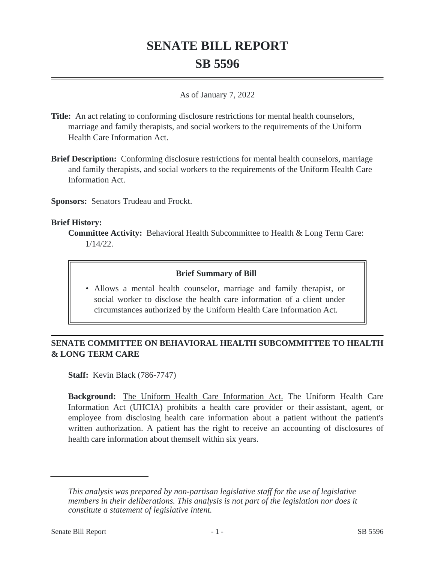# **SENATE BILL REPORT SB 5596**

#### As of January 7, 2022

- **Title:** An act relating to conforming disclosure restrictions for mental health counselors, marriage and family therapists, and social workers to the requirements of the Uniform Health Care Information Act.
- **Brief Description:** Conforming disclosure restrictions for mental health counselors, marriage and family therapists, and social workers to the requirements of the Uniform Health Care Information Act.

**Sponsors:** Senators Trudeau and Frockt.

#### **Brief History:**

#### **Brief Summary of Bill**

• Allows a mental health counselor, marriage and family therapist, or social worker to disclose the health care information of a client under circumstances authorized by the Uniform Health Care Information Act.

# **SENATE COMMITTEE ON BEHAVIORAL HEALTH SUBCOMMITTEE TO HEALTH & LONG TERM CARE**

**Staff:** Kevin Black (786-7747)

**Background:** The Uniform Health Care Information Act. The Uniform Health Care Information Act (UHCIA) prohibits a health care provider or their assistant, agent, or employee from disclosing health care information about a patient without the patient's written authorization. A patient has the right to receive an accounting of disclosures of health care information about themself within six years.

**Committee Activity:** Behavioral Health Subcommittee to Health & Long Term Care: 1/14/22.

*This analysis was prepared by non-partisan legislative staff for the use of legislative members in their deliberations. This analysis is not part of the legislation nor does it constitute a statement of legislative intent.*